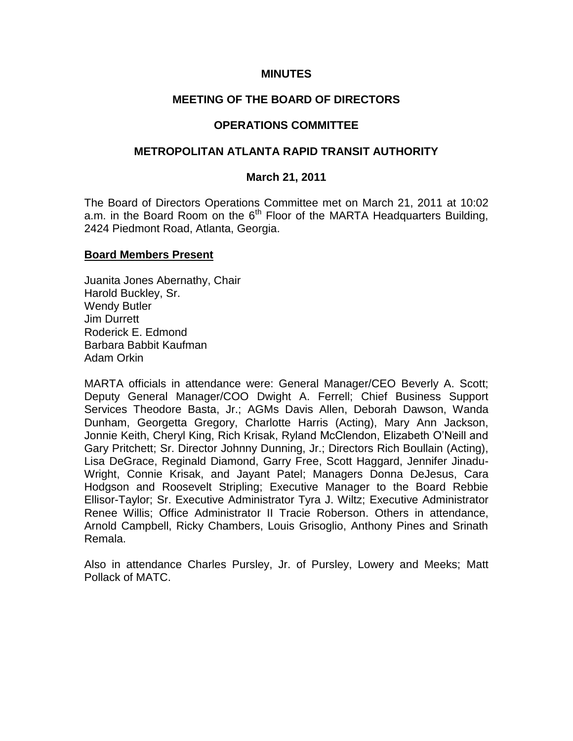## **MINUTES**

# **MEETING OF THE BOARD OF DIRECTORS**

## **OPERATIONS COMMITTEE**

# **METROPOLITAN ATLANTA RAPID TRANSIT AUTHORITY**

## **March 21, 2011**

The Board of Directors Operations Committee met on March 21, 2011 at 10:02 a.m. in the Board Room on the  $6<sup>th</sup>$  Floor of the MARTA Headquarters Building, 2424 Piedmont Road, Atlanta, Georgia.

#### **Board Members Present**

Juanita Jones Abernathy, Chair Harold Buckley, Sr. Wendy Butler Jim Durrett Roderick E. Edmond Barbara Babbit Kaufman Adam Orkin

MARTA officials in attendance were: General Manager/CEO Beverly A. Scott; Deputy General Manager/COO Dwight A. Ferrell; Chief Business Support Services Theodore Basta, Jr.; AGMs Davis Allen, Deborah Dawson, Wanda Dunham, Georgetta Gregory, Charlotte Harris (Acting), Mary Ann Jackson, Jonnie Keith, Cheryl King, Rich Krisak, Ryland McClendon, Elizabeth O'Neill and Gary Pritchett; Sr. Director Johnny Dunning, Jr.; Directors Rich Boullain (Acting), Lisa DeGrace, Reginald Diamond, Garry Free, Scott Haggard, Jennifer Jinadu-Wright, Connie Krisak, and Jayant Patel; Managers Donna DeJesus, Cara Hodgson and Roosevelt Stripling; Executive Manager to the Board Rebbie Ellisor-Taylor; Sr. Executive Administrator Tyra J. Wiltz; Executive Administrator Renee Willis; Office Administrator II Tracie Roberson. Others in attendance, Arnold Campbell, Ricky Chambers, Louis Grisoglio, Anthony Pines and Srinath Remala.

Also in attendance Charles Pursley, Jr. of Pursley, Lowery and Meeks; Matt Pollack of MATC.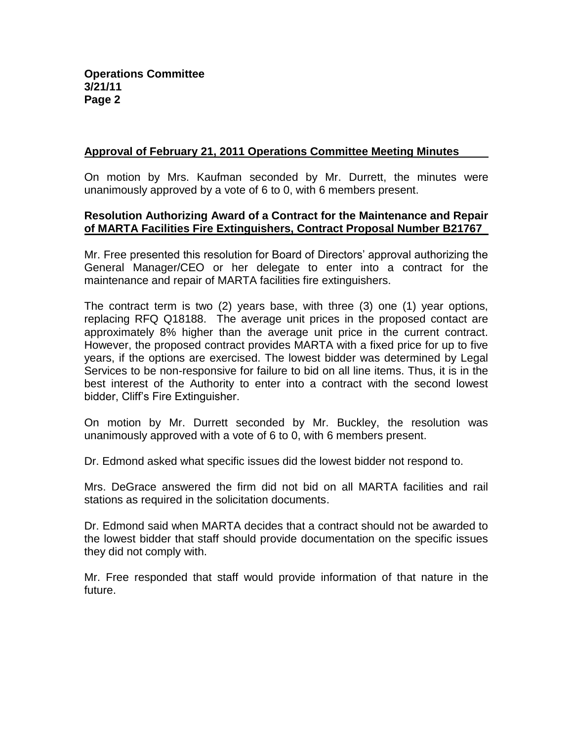# **Approval of February 21, 2011 Operations Committee Meeting Minutes**

On motion by Mrs. Kaufman seconded by Mr. Durrett, the minutes were unanimously approved by a vote of 6 to 0, with 6 members present.

## **Resolution Authorizing Award of a Contract for the Maintenance and Repair of MARTA Facilities Fire Extinguishers, Contract Proposal Number B21767**

Mr. Free presented this resolution for Board of Directors' approval authorizing the General Manager/CEO or her delegate to enter into a contract for the maintenance and repair of MARTA facilities fire extinguishers.

The contract term is two (2) years base, with three (3) one (1) year options, replacing RFQ Q18188. The average unit prices in the proposed contact are approximately 8% higher than the average unit price in the current contract. However, the proposed contract provides MARTA with a fixed price for up to five years, if the options are exercised. The lowest bidder was determined by Legal Services to be non-responsive for failure to bid on all line items. Thus, it is in the best interest of the Authority to enter into a contract with the second lowest bidder, Cliff's Fire Extinguisher.

On motion by Mr. Durrett seconded by Mr. Buckley, the resolution was unanimously approved with a vote of 6 to 0, with 6 members present.

Dr. Edmond asked what specific issues did the lowest bidder not respond to.

Mrs. DeGrace answered the firm did not bid on all MARTA facilities and rail stations as required in the solicitation documents.

Dr. Edmond said when MARTA decides that a contract should not be awarded to the lowest bidder that staff should provide documentation on the specific issues they did not comply with.

Mr. Free responded that staff would provide information of that nature in the future.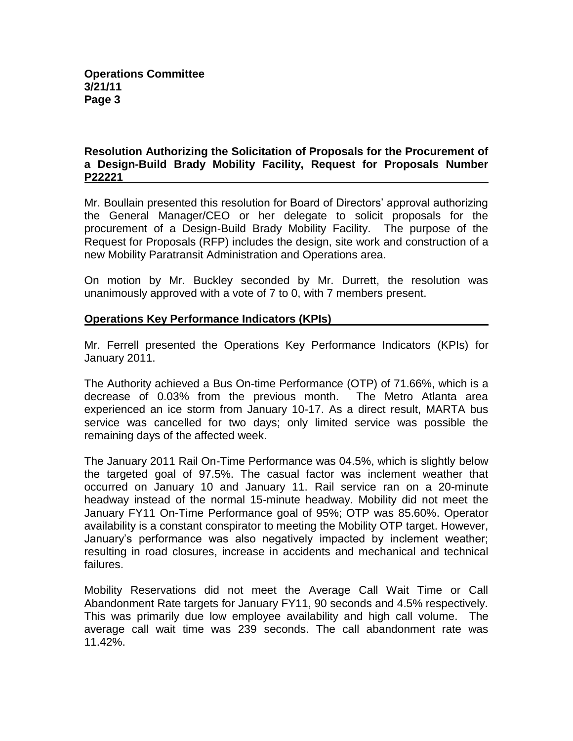# **Resolution Authorizing the Solicitation of Proposals for the Procurement of a Design-Build Brady Mobility Facility, Request for Proposals Number P22221**

Mr. Boullain presented this resolution for Board of Directors' approval authorizing the General Manager/CEO or her delegate to solicit proposals for the procurement of a Design-Build Brady Mobility Facility. The purpose of the Request for Proposals (RFP) includes the design, site work and construction of a new Mobility Paratransit Administration and Operations area.

On motion by Mr. Buckley seconded by Mr. Durrett, the resolution was unanimously approved with a vote of 7 to 0, with 7 members present.

# **Operations Key Performance Indicators (KPIs)**

Mr. Ferrell presented the Operations Key Performance Indicators (KPIs) for January 2011.

The Authority achieved a Bus On-time Performance (OTP) of 71.66%, which is a decrease of 0.03% from the previous month. The Metro Atlanta area experienced an ice storm from January 10-17. As a direct result, MARTA bus service was cancelled for two days; only limited service was possible the remaining days of the affected week.

The January 2011 Rail On-Time Performance was 04.5%, which is slightly below the targeted goal of 97.5%. The casual factor was inclement weather that occurred on January 10 and January 11. Rail service ran on a 20-minute headway instead of the normal 15-minute headway. Mobility did not meet the January FY11 On-Time Performance goal of 95%; OTP was 85.60%. Operator availability is a constant conspirator to meeting the Mobility OTP target. However, January's performance was also negatively impacted by inclement weather; resulting in road closures, increase in accidents and mechanical and technical failures.

Mobility Reservations did not meet the Average Call Wait Time or Call Abandonment Rate targets for January FY11, 90 seconds and 4.5% respectively. This was primarily due low employee availability and high call volume. The average call wait time was 239 seconds. The call abandonment rate was 11.42%.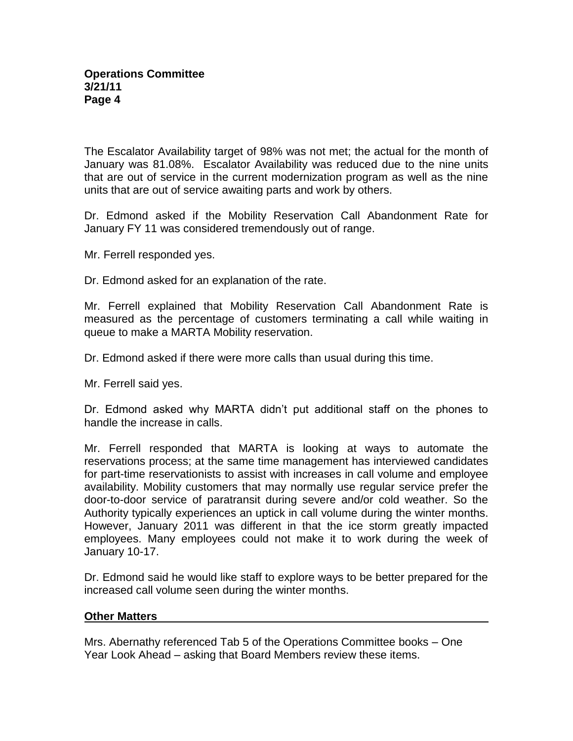The Escalator Availability target of 98% was not met; the actual for the month of January was 81.08%. Escalator Availability was reduced due to the nine units that are out of service in the current modernization program as well as the nine units that are out of service awaiting parts and work by others.

Dr. Edmond asked if the Mobility Reservation Call Abandonment Rate for January FY 11 was considered tremendously out of range.

Mr. Ferrell responded yes.

Dr. Edmond asked for an explanation of the rate.

Mr. Ferrell explained that Mobility Reservation Call Abandonment Rate is measured as the percentage of customers terminating a call while waiting in queue to make a MARTA Mobility reservation.

Dr. Edmond asked if there were more calls than usual during this time.

Mr. Ferrell said yes.

Dr. Edmond asked why MARTA didn't put additional staff on the phones to handle the increase in calls.

Mr. Ferrell responded that MARTA is looking at ways to automate the reservations process; at the same time management has interviewed candidates for part-time reservationists to assist with increases in call volume and employee availability. Mobility customers that may normally use regular service prefer the door-to-door service of paratransit during severe and/or cold weather. So the Authority typically experiences an uptick in call volume during the winter months. However, January 2011 was different in that the ice storm greatly impacted employees. Many employees could not make it to work during the week of January 10-17.

Dr. Edmond said he would like staff to explore ways to be better prepared for the increased call volume seen during the winter months.

#### **Other Matters**

Mrs. Abernathy referenced Tab 5 of the Operations Committee books – One Year Look Ahead – asking that Board Members review these items.